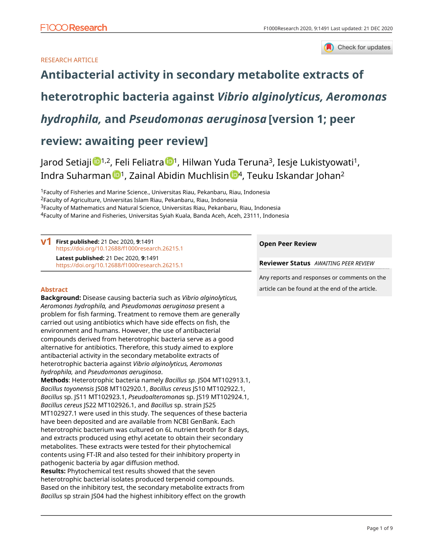Check for updates

## RESEARCH ARTICLE

# **[Antibacterial activity in secondary metabolite extracts of](https://f1000research.com/articles/9-1491/v1)**

# **[heterotrophic bacteria against](https://f1000research.com/articles/9-1491/v1)** *[Vibrio alginolyticus, Aeromonas](https://f1000research.com/articles/9-1491/v1)*

# *[hydrophila,](https://f1000research.com/articles/9-1491/v1)* **[and](https://f1000research.com/articles/9-1491/v1)** *[Pseudomonas aeruginosa](https://f1000research.com/articles/9-1491/v1)* **[version 1; peer**

## **review: awaiting peer review]**

J[a](https://orcid.org/0000-0003-4650-7483)rod Setiaji <sup>1,2</sup>, Feli Feliatra <sup>1</sup>, Hilwan Yuda Teruna<sup>3</sup>, Iesje Lukistyowati<sup>1</sup>, I[n](https://orcid.org/0000-0003-4314-2458)dra Suharman <sup>1</sup>, Zainal Abidin Muchlisin <sup>1,</sup> Teuku Iskandar Johan<sup>2</sup>

<sup>1</sup>Faculty of Fisheries and Marine Science., Universitas Riau, Pekanbaru, Riau, Indonesia

<sup>2</sup>Faculty of Agriculture, Universitas Islam Riau, Pekanbaru, Riau, Indonesia

<sup>3</sup>Faculty of Mathematics and Natural Science, Universitas Riau, Pekanbaru, Riau, Indonesia

<sup>4</sup>Faculty of Marine and Fisheries, Universitas Syiah Kuala, Banda Aceh, Aceh, 23111, Indonesia

**First published:** 21 Dec 2020, **9**:1491 **v1** <https://doi.org/10.12688/f1000research.26215.1> **Latest published:** 21 Dec 2020, **9**:1491 <https://doi.org/10.12688/f1000research.26215.1>

## **Abstract**

**Background:** Disease causing bacteria such as *Vibrio alginolyticus, Aeromonas hydrophila,* and *Pseudomonas aeruginosa* present a problem for fish farming. Treatment to remove them are generally carried out using antibiotics which have side effects on fish, the environment and humans. However, the use of antibacterial compounds derived from heterotrophic bacteria serve as a good alternative for antibiotics. Therefore, this study aimed to explore antibacterial activity in the secondary metabolite extracts of heterotrophic bacteria against *Vibrio alginolyticus, Aeromonas hydrophila,* and *Pseudomonas aeruginosa*.

**Methods**: Heterotrophic bacteria namely *Bacillus sp.* JS04 MT102913.1, *Bacillus toyonensis* JS08 MT102920.1, *Bacillus cereus* JS10 MT102922.1, *Bacillus* sp. JS11 MT102923.1, *Pseudoalteromonas* sp. JS19 MT102924.1, *Bacillus cereus* JS22 MT102926.1, and *Bacillus* sp. strain JS25 MT102927.1 were used in this study. The sequences of these bacteria have been deposited and are available from NCBI GenBank. Each heterotrophic bacterium was cultured on 6L nutrient broth for 8 days, and extracts produced using ethyl acetate to obtain their secondary metabolites. These extracts were tested for their phytochemical contents using FT-IR and also tested for their inhibitory property in pathogenic bacteria by agar diffusion method.

**Results:** Phytochemical test results showed that the seven heterotrophic bacterial isolates produced terpenoid compounds. Based on the inhibitory test, the secondary metabolite extracts from *Bacillus* sp strain JS04 had the highest inhibitory effect on the growth

## **Open Peer Review**

**Reviewer Status** *AWAITING PEER REVIEW*

Any reports and responses or comments on the article can be found at the end of the article.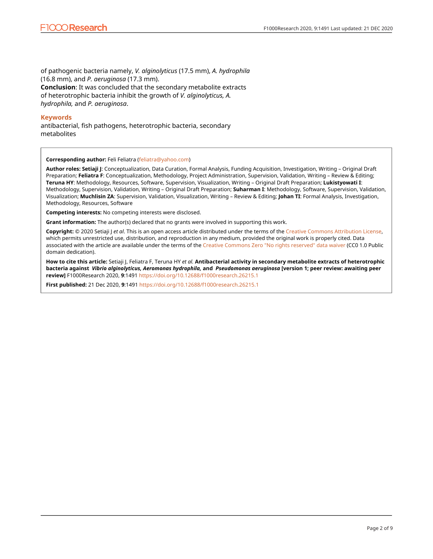of pathogenic bacteria namely, *V. alginolyticus* (17.5 mm), *A. hydrophila* (16.8 mm), and *P. aeruginosa* (17.3 mm). **Conclusion**: It was concluded that the secondary metabolite extracts of heterotrophic bacteria inhibit the growth of *V. alginolyticus, A. hydrophila,* and *P. aeruginosa*.

### **Keywords**

antibacterial, fish pathogens, heterotrophic bacteria, secondary metabolites

**Corresponding author:** Feli Feliatra ([feliatra@yahoo.com](mailto:feliatra@yahoo.com))

**Author roles: Setiaji J**: Conceptualization, Data Curation, Formal Analysis, Funding Acquisition, Investigation, Writing – Original Draft Preparation; **Feliatra F**: Conceptualization, Methodology, Project Administration, Supervision, Validation, Writing – Review & Editing; **Teruna HY**: Methodology, Resources, Software, Supervision, Visualization, Writing – Original Draft Preparation; **Lukistyowati I**: Methodology, Supervision, Validation, Writing – Original Draft Preparation; **Suharman I**: Methodology, Software, Supervision, Validation, Visualization; **Muchlisin ZA**: Supervision, Validation, Visualization, Writing – Review & Editing; **Johan TI**: Formal Analysis, Investigation, Methodology, Resources, Software

**Competing interests:** No competing interests were disclosed.

**Grant information:** The author(s) declared that no grants were involved in supporting this work.

**Copyright:** © 2020 Setiaji J *et al*. This is an open access article distributed under the terms of the [Creative Commons Attribution License,](http://creativecommons.org/licenses/by/4.0/) which permits unrestricted use, distribution, and reproduction in any medium, provided the original work is properly cited. Data associated with the article are available under the terms of the [Creative Commons Zero "No rights reserved" data waiver](http://creativecommons.org/publicdomain/zero/1.0/) (CC0 1.0 Public domain dedication).

**How to cite this article:** Setiaji J, Feliatra F, Teruna HY *et al.* **Antibacterial activity in secondary metabolite extracts of heterotrophic bacteria against** *Vibrio alginolyticus, Aeromonas hydrophila,* **and** *Pseudomonas aeruginosa* **[version 1; peer review: awaiting peer review]** F1000Research 2020, **9**:1491 <https://doi.org/10.12688/f1000research.26215.1>

**First published:** 21 Dec 2020, **9**:1491<https://doi.org/10.12688/f1000research.26215.1>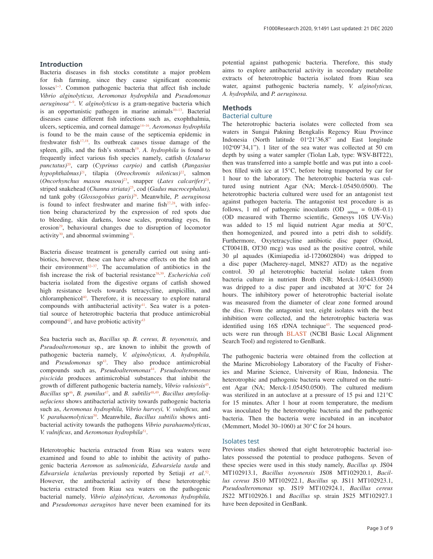## **Introduction**

Bacteria diseases in fish stocks constitute a major problem for fish farming, since they cause significant economic losses<sup>1-3</sup>. Common pathogenic bacteria that affect fish include *Vibrio alginolyticus, Aeromonas hydrophila* and *Pseudomonas aeruginosa*[4](#page-5-0)[–9](#page-6-0) . *V. alginolyticus* is a gram-negative bacteria which is an opportunistic pathogen in marine animals $10-13$ . Bacterial diseases cause different fish infections such as, exophthalmia, ulcers, septicemia, and corneal damage<sup>14-16</sup>. *Aeromonas hydrophila* is found to be the main cause of the septicemia epidemic in freshwater fish $17,18$ . Its outbreak causes tissue damage of the spleen, gills, and the fish's stomach<sup>19</sup>. A. *hydrophila* is found to frequently infect various fish species namely, catfish (*Ictalurus punctatus)*[20,](#page-6-0) carp (*Cyprinus carpio)* and catfish (*Pangasius hypophthalmus)*[21,](#page-6-0) tilapia (*Oreochromis niloticus)*[22](#page-6-0), salmon (*Oncorhynchus masou masou)*[23,](#page-6-0) snapper (*Lates calcarifer)*[24](#page-6-0), striped snakehead (*Channa striata)*[25,](#page-6-0) cod (*Gadus macrocephalus),* nd tank goby (*Glossogobius guris)*[26.](#page-6-0) Meanwhile, *P. aeruginosa* is found to infect freshwater and marine fish $27.28$ , with infection being characterized by the expression of red spots due to bleeding, skin darkens, loose scales, protruding eyes, fin erosion $29$ , behavioural changes due to disruption of locomotor activity<sup>30</sup>, and abnormal swimming<sup>31</sup>.

Bacteria disease treatment is generally carried out using antibiotics, however, these can have adverse effects on the fish and their environment $32-37$ . The accumulation of antibiotics in the fish increase the risk of bacterial resistance<sup>38,39</sup>. *Escherichia coli* bacteria isolated from the digestive organs of catfish showed high resistance levels towards tetracycline, ampicillin, and chloramphenicol<sup>40</sup>. Therefore, it is necessary to explore natural compounds with antibacterial activity<sup>41</sup>. Sea water is a potential source of heterotrophic bacteria that produce antimicrobial compound<sup>42</sup>, and have probiotic activity<sup>43</sup>

Sea bacteria such as, *Bacillus* sp*. B. cereus, B. toyonensis,* and *Pseudoalteromonas* sp*.*, are known to inhibit the growth of pathogenic bacteria namely, *V. alginolyticus, A. hydrophila,* and *Pseudomonas* sp<sup>43</sup>. They also produce antimicrobial compounds such as, *Pseudoalteromonas*[44](#page-6-0). *Pseudoalteromonas piscicida* produces antimicrobial substances that inhibit the growth of different pathogenic bacteria namely, *Vibrio vulniosis*[45](#page-7-0), *Bacillus* sp<sup>46</sup>, *B. pumilus<sup>[47](#page-7-0)</sup>*, and *B. subtilis*<sup>48,49</sup>. *Bacillus amyloliquefaciens* shows antibacterial activity towards pathogenic bacteria such as, *Aeromonas hydrophila, Vibrio harveyi, V. vulnificus,* and *V. parahaemolyticus*[50](#page-7-0). Meanwhile, *Bacillus subtilis* shows antibacterial activity towards the pathogens *Vibrio parahaemolyticus*, *V. vulnificus*, and *Aeromonas hydrophila*[51.](#page-7-0)

Heterotrophic bacteria extracted from Riau sea waters were examined and found to able to inhibit the activity of pathogenic bacteria *Aeromon* as *salmonicida*, *Edwarsiela tarda* and *Edwarsiela ictaluri*as previously reported by Setiaji *et al*. [52](#page-7-0). However, the antibacterial activity of these heterotrophic bacteria extracted from Riau sea waters on the pathogenic bacterial namely*, Vibrio alginolyticus, Aeromonas hydrophila,* and *Pseudomonas aeruginos* have never been examined for its potential against pathogenic bacteria. Therefore, this study aims to explore antibacterial activity in secondary metabolite extracts of heterotrophic bacteria isolated from Riau sea water, against pathogenic bacteria namely, *V. alginolyticus, A. hydrophila,* and *P. aeruginosa.*

## **Methods**

## Bacterial culture

The heterotrophic bacteria isolates were collected from sea waters in Sungai Pakning Bengkalis Regency Riau Province Indonesia (North latitude 01°21'36,8" and East longitude 102°09'34,1"). 1 liter of the sea water was collected at 50 cm depth by using a water sampler (Tiolan Lab, type: WSV-BIT22), then was transferred into a sample bottle and was put into a coolbox filled with ice at 15°C, before being transported by car for 1 hour to the laboratory. The heterotrophic bacteria was cultured using nutrient Agar (NA; Merck-1.05450.0500). The heterotrophic bacteria cultured were used for an antagonist test against pathogen bacteria. The antagonist test procedure is as follows, 1 ml of pathogenic inoculants (OD  $_{600nm} = 0.08-0.1$ ) (OD measured with Thermo scientific, Genesys 10S UV-Vis) was added to 15 ml liquid nutrient Agar media at 50°C, then homogenized, and poured into a petri dish to solidify. Furthermore, Oxytetracycline antibiotic disc paper (Oxoid, CT0041B, OT30 mcg) was used as the positive control, while 30 µl aquades (Kimiapedia id-1720602804) was dripped to a disc paper (Macherey-nagel, MN827 ATD) as the negative control. 30 µl heterotrophic bacterial isolate taken from bacteria culture in nutrient Broth (NB; Merck-1.05443.0500) was dripped to a disc paper and incubated at 30°C for 24 hours. The inhibitory power of heterotrophic bacterial isolate was measured from the diameter of clear zone formed around the disc. From the antagonist test, eight isolates with the best inhibition were collected, and the heterotrophic bacteria was identified using 16S rDNA technique<sup>43</sup>. The sequenced products were run through [BLAST](https://blast.ncbi.nlm.nih.gov/Blast.cgi) (NCBI Basic Local Alignment Search Tool) and registered to GenBank.

The pathogenic bacteria were obtained from the collection at the Marine Microbiology Laboratory of the Faculty of Fisheries and Marine Science, University of Riau, Indonesia. The heterotrophic and pathogenic bacteria were cultured on the nutrient Agar (NA; Merck-1.05450.0500). The cultured medium was sterilized in an autoclave at a pressure of 15 psi and 121°C for 15 minutes. After 1 hour at room temperature, the medium was inoculated by the heterotrophic bacteria and the pathogenic bacteria. Then the bacteria were incubated in an incubator (Memmert, Model 30–1060) at 30°C for 24 hours.

## Isolates test

Previous studies showed that eight heterotrophic bacterial isolates possessed the potential to produce pathogens. Seven of these species were used in this study namely, *Bacillus sp.* JS04 MT102913.1, *Bacillus toyonensis* JS08 MT102920.1, *Bacillus cereus* JS10 MT102922.1, *Bacillus* sp. JS11 MT102923.1, *Pseudoalteromonas* sp. JS19 MT102924.1, *Bacillus cereus* JS22 MT102926.1 and *Bacillus* sp. strain JS25 MT102927.1 have been deposited in GenBank.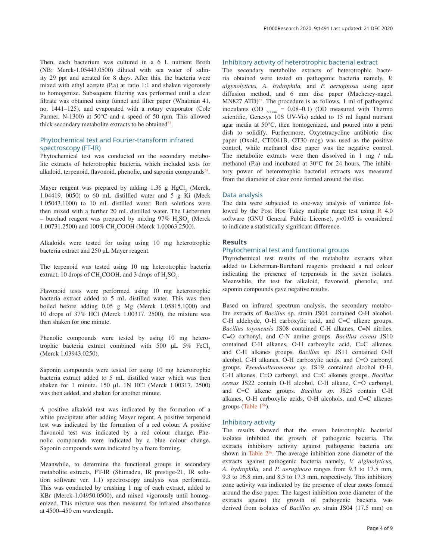Then, each bacterium was cultured in a 6 L nutrient Broth (NB; Merck-1.05443.0500) diluted with sea water of salinity 29 ppt and aerated for 8 days. After this, the bacteria were mixed with ethyl acetate (P.a) at ratio 1:1 and shaken vigorously to homogenize. Subsequent filtering was performed until a clear filtrate was obtained using funnel and filter paper (Whatman 41, no. 1441–125), and evaporated with a rotary evaporator (Cole Parmer, N-1300) at 50°C and a speed of 50 rpm. This allowed thick secondary metabolite extracts to be obtained $53$ .

## Phytochemical test and Fourier-transform infrared spectroscopy (FT-IR)

Phytochemical test was conducted on the secondary metabolite extracts of heterotrophic bacteria, which included tests for alkaloid, terpenoid, flavonoid, phenolic, and saponin compounds $54$ .

Mayer reagent was prepared by adding  $1.36$  g HgCl<sub>2</sub> (Merck, 1.04419. 0050) to 60 mL distilled water and  $5 \text{ g K}$  Ki (Meck 1.05043.1000) to 10 mL distilled water. Both solutions were then mixed with a further 20 mL distilled water. The Liebermen – burchad reagent was prepared by mixing  $97\%$  H<sub>2</sub>SO<sub>4</sub> (Merck 1.00731.2500) and 100% CH<sub>3</sub>COOH (Merck 1.00063.2500).

Alkaloids were tested for using using 10 mg heterotrophic bacteria extract and 250 µL Mayer reagent.

The terpenoid was tested using 10 mg heterotrophic bacteria extract, 10 drops of  $\text{CH}_3\text{COOH}$ , and 3 drops of  $\text{H}_2\text{SO}_4$ .

Flavonoid tests were performed using 10 mg heterotrophic bacteria extract added to 5 mL distilled water. This was then boiled before adding 0.05 g Mg (Merck 1.05815.1000) and 10 drops of 37% HCl (Merck 1.00317. 2500), the mixture was then shaken for one minute.

Phenolic compounds were tested by using 10 mg heterotrophic bacteria extract combined with 500  $\mu$ L 5% FeCl, (Merck 1.03943.0250).

Saponin compounds were tested for using 10 mg heterotrophic bacteria extract added to 5 mL distilled water which was then shaken for 1 minute. 150 µL 1N HCl (Merck 1.00317. 2500) was then added, and shaken for another minute.

A positive alkaloid test was indicated by the formation of a white precipitate after adding Mayer regent. A positive terpenoid test was indicated by the formation of a red colour. A positive flavonoid test was indicated by a red colour change. Phenolic compounds were indicated by a blue colour change. Saponin compounds were indicated by a foam forming.

Meanwhile, to determine the functional groups in secondary metabolite extracts, FT-IR (Shimadzu, IR prestige-21, IR solution software ver. 1.1) spectroscopy analysis was performed. This was conducted by crushing 1 mg of each extract, added to KBr (Merck-1.04950.0500), and mixed vigorously until homogenized. This mixture was then measured for infrared absorbance at 4500–450 cm wavelength.

## Inhibitory activity of heterotrophic bacterial extract

The secondary metabolite extracts of heterotrophic bacteria obtained were tested on pathogenic bacteria namely, *V. algynolyticus, A. hydrophila,* and *P. aeruginosa* using agar diffusion method, and 6 mm disc paper (Macherey-nagel,  $MN827$  ATD)<sup>[55](#page-7-0)</sup>. The procedure is as follows, 1 ml of pathogenic inoculants (OD  $_{600nm} = 0.08-0.1$ ) (OD measured with Thermo scientific, Genesys 10S UV-Vis) added to 15 ml liquid nutrient agar media at 50°C, then homogenized, and poured into a petri dish to solidify. Furthermore, Oxytetracycline antibiotic disc paper (Oxoid, CT0041B, OT30 mcg) was used as the positive control, while methanol disc paper was the negative control. The metabolite extracts were then dissolved in 1 mg / mL methanol (P.a) and incubated at 30°C for 24 hours. The inhibitory power of heterotrophic bacterial extracts was measured from the diameter of clear zone formed around the disc.

#### Data analysis

The data were subjected to one-way analysis of variance followed by the Post Hoc Tukey multiple range test using  $\bf{R}$  $\bf{R}$  $\bf{R}$  4.0 software (GNU General Public License),  $p<0.05$  is considered to indicate a statistically significant difference.

## **Results**

## Phytochemical test and functional groups

Phytochemical test results of the metabolite extracts when added to Lieberman-Burchard reagents produced a red colour indicating the presence of terpenoids in the seven isolates. Meanwhile, the test for alkaloid, flavonoid, phenolic, and saponin compounds gave negative results.

Based on infrared spectrum analysis, the secondary metabolite extracts of *Bacillus* sp. strain JS04 contained O-H alcohol, C-H aldehyde, O-H carboxylic acid, and C=C alkene groups. *Bacillus toyonensis* JS08 contained C-H alkanes, C=N nitriles, C=O carbonyl, and C-N amine groups. *Bacillus cereus* JS10 contained C-H alkanes, O-H carboxylic acid, C=C alkenes, and C-H alkanes groups. *Bacillus* sp. JS11 contained O-H alcohol, C-H alkanes, O-H carboxylic acids, and C=O carbonyl groups. *Pseudoalteromonas sp.* JS19 contained alcohol O-H, C-H alkanes, C=O carbonyl, and C=C alkenes groups. *Bacillus cereus* JS22 contain O-H alcohol, C-H alkane, C=O carbonyl, and C=C alkene groups. *Bacillus sp*. JS25 contain C-H alkanes, O-H carboxylic acids, O-H alcohols, and C=C alkenes groups [\(Table 1](#page-4-0)<sup>[56](#page-7-0)</sup>).

#### Inhibitory activity

The results showed that the seven heterotrophic bacterial isolates inhibited the growth of pathogenic bacteria. The extracts inhibitory activity against pathogenic bacteria are shown in Table  $2^{56}$ . The average inhibition zone diameter of the extracts against pathogenic bacteria namely, *V. alginolyticus, A. hydrophila,* and *P. aeruginosa* ranges from 9.3 to 17.5 mm, 9.3 to 16.8 mm, and 8.5 to 17.3 mm, respectively. This inhibitory zone activity was indicated by the presence of clear zones formed around the disc paper. The largest inhibition zone diameter of the extracts against the growth of pathogenic bacteria was derived from isolates of *Bacillus sp*. strain JS04 (17.5 mm) on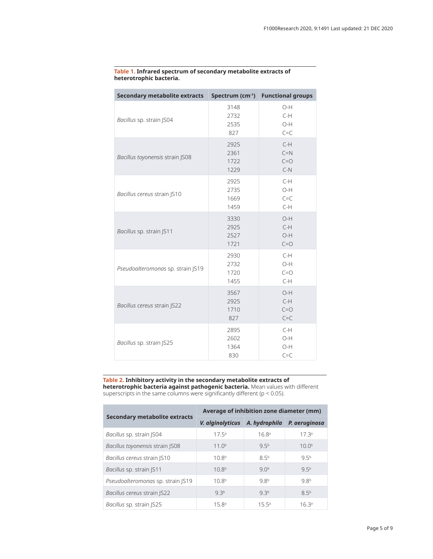| <b>Secondary metabolite extracts</b> |                              | Spectrum (cm-1) Functional groups  |  |
|--------------------------------------|------------------------------|------------------------------------|--|
| Bacillus sp. strain JS04             | 3148<br>2732<br>2535<br>827  | $O-H$<br>$C-H$<br>O-H<br>$C = C$   |  |
| Bacillus toyonensis strain JS08      | 2925<br>2361<br>1722<br>1229 | $C-H$<br>$C=N$<br>$C = O$<br>$C-N$ |  |
| Bacillus cereus strain JS10          | 2925<br>2735<br>1669<br>1459 | $C-H$<br>O-H<br>$C = C$<br>$C-H$   |  |
| Bacillus sp. strain JS11             | 3330<br>2925<br>2527<br>1721 | $O-H$<br>$C-H$<br>O-H<br>$C = O$   |  |
| Pseudoalteromonas sp. strain JS19    | 2930<br>2732<br>1720<br>1455 | $C-H$<br>$O-H$<br>$C = O$<br>$C-H$ |  |
| Bacillus cereus strain JS22          | 3567<br>2925<br>1710<br>827  | O-H<br>$C-H$<br>$C = O$<br>$C = C$ |  |
| Bacillus sp. strain JS25             | 2895<br>2602<br>1364<br>830  | $C-H$<br>O-H<br>O-H<br>$C = C$     |  |

#### <span id="page-4-0"></span>**Table 1. Infrared spectrum of secondary metabolite extracts of heterotrophic bacteria.**

**Table 2. Inhibitory activity in the secondary metabolite extracts of heterotrophic bacteria against pathogenic bacteria.** Mean values with different superscripts in the same columns were significantly different (p < 0.05).

| Secondary metabolite extracts     | Average of inhibition zone diameter (mm) |                   |                   |  |
|-----------------------------------|------------------------------------------|-------------------|-------------------|--|
|                                   | V. alginolyticus                         | A. hydrophila     | P. aeruginosa     |  |
| Bacillus sp. strain JS04          | $175^a$                                  | 16.8 <sup>a</sup> | 17 <sup>3a</sup>  |  |
| Bacillus toyonensis strain JS08   | 11.0 <sup>b</sup>                        | 95 <sup>b</sup>   | 10.0 <sup>b</sup> |  |
| Bacillus cereus strain JS10       | 10.8 <sup>b</sup>                        | 85 <sup>b</sup>   | 95 <sup>b</sup>   |  |
| Bacillus sp. strain JS11          | 10.8 <sup>b</sup>                        | 90 <sup>b</sup>   | 95 <sup>b</sup>   |  |
| Pseudoalteromonas sp. strain JS19 | 10.8 <sup>b</sup>                        | 98 <sup>b</sup>   | 98 <sup>b</sup>   |  |
| Bacillus cereus strain JS22       | 93 <sup>b</sup>                          | 93 <sup>b</sup>   | 85 <sup>b</sup>   |  |
| Bacillus sp. strain JS25          | 15.8 <sup>a</sup>                        | $155^{\circ}$     | 16.3 <sup>a</sup> |  |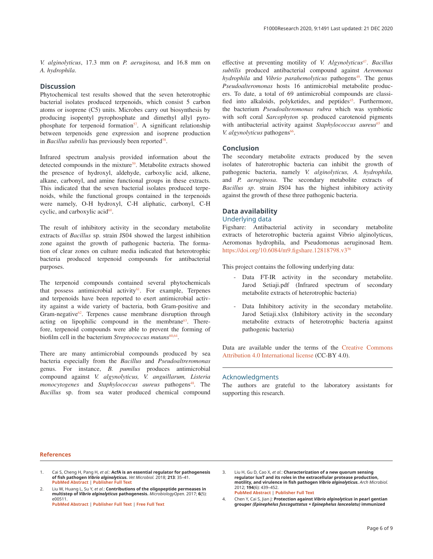<span id="page-5-0"></span>*V. alginolyticus*, 17.3 mm on *P. aeruginosa,* and 16.8 mm on *A. hydrophila*.

## **Discussion**

Phytochemical test results showed that the seven heterotrophic bacterial isolates produced terpenoids, which consist 5 carbon atoms or isoprene (C5) units. Microbes carry out biosynthesis by producing isopentyl pyrophosphate and dimethyl allyl pyrophosphate for terpenoid formation $57$ . A significant relationship between terpenoids gene expression and isoprene production in *Bacillus subtilis* has previously been reported<sup>58</sup>.

Infrared spectrum analysis provided information about the detected compounds in the mixture<sup>59</sup>. Metabolite extracts showed the presence of hydroxyl, aldehyde, carboxylic acid, alkene, alkane, carbonyl, and amine functional groups in these extracts. This indicated that the seven bacterial isolates produced terpenoids, while the functional groups contained in the terpenoids were namely, O-H hydroxyl, C-H aliphatic, carbonyl, C-H cyclic, and carboxylic acid<sup>60</sup>.

The result of inhibitory activity in the secondary metabolite extracts of *Bacillus* sp. strain JS04 showed the largest inhibition zone against the growth of pathogenic bacteria. The formation of clear zones on culture media indicated that heterotrophic bacteria produced terpenoid compounds for antibacterial purposes.

The terpenoid compounds contained several phytochemicals that possess antimicrobial activity<sup>61</sup>. For example, Terpenes and terpenoids have been reported to exert antimicrobial activity against a wide variety of bacteria, both Gram-positive and Gram-negative $62$ . Terpenes cause membrane disruption through acting on lipophilic compound in the membrane $63$ . Therefore, terpenoid compounds were able to prevent the forming of biofilm cell in the bacterium *Streptococcus mutans*<sup>[60,64](#page-7-0)</sup>.

There are many antimicrobial compounds produced by sea bacteria especially from the *Bacillus* and *Pseudoaltreromonas* genus. For instance, *B. pumilus* produces antimicrobial compound against *V. algynolyticus, V. anguillarum, Listeria monocytogenes* and *Staphylococcus aureus* pathogens<sup>48</sup>. The *Bacillus* sp. from sea water produced chemical compound effective at preventing motility of *V. Algynolyticus<sup>47</sup>. Bacillus subtilis* produced antibacterial compound against *Aeromonas hydrophila* and *Vibrio parahemolyticus* pathogens<sup>[49](#page-7-0)</sup>. The genus *Pseudoalteromonas* hosts 16 antimicrobial metabolite producers. To date, a total of 69 antimicrobial compounds are classified into alkaloids, polyketides, and peptides<sup>45</sup>. Furthermore, the bacterium *Pseudoalteromonas rubra* which was symbiotic with soft coral *Sarcophyton* sp*.* produced carotenoid pigments with antibacterial activity against *Staphylococcus aureus*<sup>65</sup> and *V. algynolyticus* pathogens<sup>66</sup>.

#### **Conclusion**

The secondary metabolite extracts produced by the seven isolates of haterotrophic bacteria can inhibit the growth of pathogenic bacteria, namely *V. alginolyticus, A. hydrophila,* and *P. aeruginosa*. The secondary metabolite extracts of *Bacillus sp*. strain JS04 has the highest inhibitory activity against the growth of these three pathogenic bacteria.

## **Data availability**

## Underlying data

Figshare: Antibacterial activity in secondary metabolite extracts of heterotrophic bacteria against Vibrio alginolyticus, Aeromonas hydrophila, and Pseudomonas aeruginosad Item. <https://doi.org/10.6084/m9.figshare.12818798.v3><sup>[56](#page-7-0)</sup>

This project contains the following underlying data:

- Data FT-IR activity in the secondary metabolite. Jarod Setiaji.pdf (Infrared spectrum of secondary metabolite extracts of heterotrophic bacteria)
- Data Inhibitory activity in the secondary metabolite. Jarod Setiaji.xlsx (Inhibitory activity in the secondary metabolite extracts of heterotrophic bacteria against pathogenic bacteria)

Data are available under the terms of the [Creative Commons](https://creativecommons.org/licenses/by/4.0/legalcode)  [Attribution 4.0 International license](https://creativecommons.org/licenses/by/4.0/legalcode) (CC-BY 4.0).

#### Acknowledgments

The authors are grateful to the laboratory assistants for supporting this research.

#### **References**

- 1. Cai S, Cheng H, Pang H, *et al.*: **AcfA is an essential regulator for pathogenesis of fish pathogen** *Vibrio alginolyticus. Vet Microbiol.* 2018; **213**: 35–41. **[PubMed Abstract](http://www.ncbi.nlm.nih.gov/pubmed/29292001)** | **[Publisher Full Text](http://dx.doi.org/10.1016/j.vetmic.2017.11.016)**
- 2. Liu W, Huang L, Su Y, *et al.*: **Contributions of the oligopeptide permeases in multistep of** *Vibrio alginolyticus* **pathogenesis.** *MicrobiologyOpen.* 2017; **6**(5): e00511. **[PubMed Abstract](http://www.ncbi.nlm.nih.gov/pubmed/28714216)** | **[Publisher Full Text](http://dx.doi.org/10.1002/mbo3.511)** | **[Free Full Text](http://www.ncbi.nlm.nih.gov/pmc/articles/5635161)**

3. Liu H, Gu D, Cao X, *et al.*: **Characterization of a new quorum sensing regulator luxT and its roles in the extracellular protease production, motility, and virulence in fish pathogen** *Vibrio alginolyticus. Arch Microbiol.* 2012; **194**(6): 439–452. **[PubMed Abstract](http://www.ncbi.nlm.nih.gov/pubmed/22130678)** | **[Publisher Full Text](http://dx.doi.org/10.1007/s00203-011-0774-x)**

4. Chen Y, Cai S, Jian J: **Protection against** *Vibrio alginolyticus* **in pearl gentian grouper** *(Epinephelus fuscoguttatus × Epinephelus lanceolatu)* **immunized**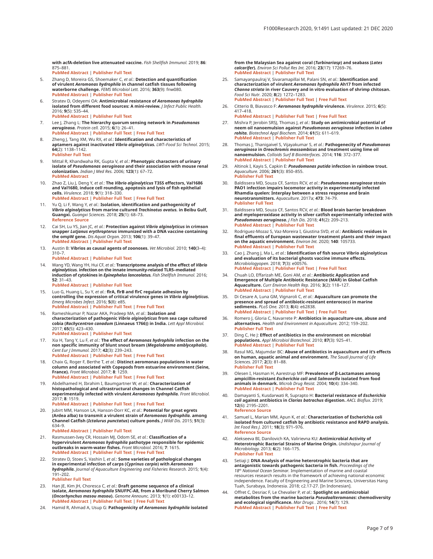<span id="page-6-0"></span>**with acfA-deletion live attenuated vaccine.** *Fish Shellfish Immunol.* 2019; **86**: 875–881.

**[PubMed Abstract](http://www.ncbi.nlm.nih.gov/pubmed/30572128)** | **[Publisher Full Text](http://dx.doi.org/10.1016/j.fsi.2018.12.030)**

- 5. Zhang D, Moreira GS, Shoemaker C, *et al.*: **Detection and quantification of virulent** *Aeromonas hydrophila* **in channel catfish tissues following waterborne challenge.** *FEMS Microbiol Lett.* 2016; **363**(9): fnw080. **[PubMed Abstract](http://www.ncbi.nlm.nih.gov/pubmed/27044300)** | **[Publisher Full Text](http://dx.doi.org/10.1093/femsle/fnw080)**
- 6. Stratev D, Odeyemi OA: **Antimicrobial resistance of** *Aeromonas hydrophila* **isolated from different food sources: A mini-review.** *J Infect Public Health.* 2016; **9**(5): 535–44. **[PubMed Abstract](http://www.ncbi.nlm.nih.gov/pubmed/26588876)** | **[Publisher Full Text](http://dx.doi.org/10.1016/j.jiph.2015.10.006)**
- 7. Lee J, Zhang L: **The hierarchy quorum sensing network in** *Pseudomonas aeruginosa. Protein cell.* 2015; **6**(1): 26–41. **[PubMed Abstract](http://www.ncbi.nlm.nih.gov/pubmed/25249263)** | **[Publisher Full Text](http://dx.doi.org/10.1007/s13238-014-0100-x)** | **[Free Full Text](http://www.ncbi.nlm.nih.gov/pmc/articles/4286720)**
- 8. Zheng J, Tang XM, Wu RX, *et al.*: **Identification and characteristics of aptamers against inactivated** *Vibrio alginolyticus. LWT–Food Sci Technol.* 2015; **64**(2): 1138–1142. **[Publisher Full Text](http://dx.doi.org/10.1016/j.lwt.2015.07.021)**
- 9. Mittal R, Khandwaha RK, Gupta V, *et al.*: **Phenotypic characters of urinary isolate of** *Pseudomonas aeruginosa* **and their association with mouse renal colonization.** *Indian J Med Res.* 2006; **123**(1): 67–72. **[PubMed Abstract](http://www.ncbi.nlm.nih.gov/pubmed/16567871)**
- 10. Zhao Z, Liu J, Deng Y, *et al.*: **The** *Vibrio alginolyticus* **T3SS effectors, Val1686 and Val1680, induce cell rounding, apoptosis and lysis of fish epithelial cells.** *Virulence.* 2018; **9**(1): 318–330. **[PubMed Abstract](http://www.ncbi.nlm.nih.gov/pubmed/29252102)** | **[Publisher Full Text](http://dx.doi.org/10.1080/21505594.2017.1414134)** | **[Free Full Text](http://www.ncbi.nlm.nih.gov/pmc/articles/5955196)**
- 11. Yu Q, Li F, Wang Y, *et al.*: **Isolation, identification and pathogenicity of**  *Vibrio alginolyticus* **from marine cultured** *Trachinotus ovatus.* **in Beibu Gulf, Guangxi.** *Guangxi Sciences.* 2018; **25**(1): 68–73. **[Reference Source](http://www.xml-data.org/gxkx/html/5adcb609-6035-4ca8-8149-712e642d68b8.htm)**
- 12. Cai SH, Lu YS, Jian JC, *et al.*: **Protection against** *Vibrio alginolyticus* **in crimson snapper** *Lutjanus erythropterus* **immunized with a DNA vaccine containing the ompW gene.** *Dis Aquat Organ.* 2013; **106**(1): 39–47. **[PubMed Abstract](http://www.ncbi.nlm.nih.gov/pubmed/24062551)** | **[Publisher Full Text](http://dx.doi.org/10.3354/dao02617)**
- 13. Austin B: **Vibrios as causal agents of zoonoses.** *Vet Microbiol.* 2010; **140**(3–4): 310–7.

**[PubMed Abstract](http://www.ncbi.nlm.nih.gov/pubmed/19342185)** | **[Publisher Full Text](http://dx.doi.org/10.1016/j.vetmic.2009.03.015)**

- 14. Wang YD, Wang YH, Hui CF, *et al.*: **Transcriptome analysis of the effect of** *Vibrio alginolyticus.* **infection on the innate immunity-related TLR5–mediated induction of cytokines in** *Epinephelus lanceolatus. Fish Shellfish Immunol.* 2016; **52**: 31–43. **[PubMed Abstract](http://www.ncbi.nlm.nih.gov/pubmed/26975410)** | **[Publisher Full Text](http://dx.doi.org/10.1016/j.fsi.2016.03.013)**
- 15. Luo G, Huang L, Su Y, *et al.*: **flrA, flrB and flrC regulate adhesion by controlling the expression of critical virulence genes in** *Vibrio alginolyticus. Emerg Microbes Infect.* 2016; **5**(8): e85. **[PubMed Abstract](http://www.ncbi.nlm.nih.gov/pubmed/27485498)** | **[Publisher Full Text](http://dx.doi.org/10.1038/emi.2016.82)** | **[Free Full Text](http://www.ncbi.nlm.nih.gov/pmc/articles/5034100)**
- 16. Rameshkumar P, Nazar AKA, Pradeep MA, *et al.*: **Isolation and characterization of pathogenic** *Vibrio alginolyticus* **from sea cage cultured cobia (***Rachycentron canadum* **(Linnaeus 1766)) in India.** *Lett Appl Microbiol.* 2017; **65**(5): 423–430. **[PubMed Abstract](http://www.ncbi.nlm.nih.gov/pubmed/28901019)** | **[Publisher Full Text](http://dx.doi.org/10.1111/lam.12800)**
- 17. Xia H, Tang Y, Lu F, *et al.*: **The effect of** *Aeromonas hydrophila* **infection on the non specific immunity of blunt snout bream (***Megalobrama amblycephala***).**  *Cent Eur J Immunol.* 2017; **42**(3): 239–243. **[PubMed Abstract](http://www.ncbi.nlm.nih.gov/pubmed/29204087)** | **[Publisher Full Text](http://dx.doi.org/10.5114/ceji.2017.70965)** | **[Free Full Text](http://www.ncbi.nlm.nih.gov/pmc/articles/5708204)**
- 18. Chaix G, Roger F, Berthe T, *et al.*: **Distinct aeromonas populations in water column and associated with Copepods from estuarine environment (Seine, France).** *Front Microbiol.* 2017; **8**: 1259. **[PubMed Abstract](http://www.ncbi.nlm.nih.gov/pubmed/28744262)** | **[Publisher Full Text](http://dx.doi.org/10.3389/fmicb.2017.01259)** | **[Free Full Text](http://www.ncbi.nlm.nih.gov/pmc/articles/5504101)**
- 19. Abdelhamed H, Ibrahim I, Baumgartner W, *et al.*: **Characterization of histopathological and ultrastructural changes in Channel Catfish experimentally infected with virulent** *Aeromonas hydrophila. Front Microbiol.* 2017; **8**: 1519. **[PubMed Abstract](http://www.ncbi.nlm.nih.gov/pubmed/28861049)** | **[Publisher Full Text](http://dx.doi.org/10.3389/fmicb.2017.01519)** | **[Free Full Text](http://www.ncbi.nlm.nih.gov/pmc/articles/5559642)**
- 20. Jubirt MM, Hanson LA, Hanson-Dorr KC, *et al.*: **Potential for great egrets (Ardea alba) to transmit a virulent strain of** *Aeromonas hydrophila.* **among Channel Catfish (***Ictalurus punctatus***) culture ponds.** *J Wildl Dis.* 2015; **51**(3): 634–9.
	- **[PubMed Abstract](http://www.ncbi.nlm.nih.gov/pubmed/25984772)** | **[Publisher Full Text](http://dx.doi.org/10.7589/2014-06-156)**
- 21. Rasmussen-Ivey CR, Hossain MJ, Odom SE, *et al.*: **Classification of a hypervirulent** *Aeromonas hydrophila* **pathotype responsible for epidemic outbreaks in warm-water fishes.** *Front Microbiol.* 2016; **7**: 1615. **[PubMed Abstract](http://www.ncbi.nlm.nih.gov/pubmed/27803692)** | **[Publisher Full Text](http://dx.doi.org/10.3389/fmicb.2016.01615)** | **[Free Full Text](http://www.ncbi.nlm.nih.gov/pmc/articles/5067525)**
- 22. Stratev D, Stoev S, Vashin I, *et al.*: **Some varieties of pathological changes in experimental infection of carps (***Cyprinus carpio***) with** *Aeromonas hydrophila. Journal of Aquaculture Engineering and Fisheries Research.* 2015; **1**(4): 191–202. **[Publisher Full Text](http://dx.doi.org/10.3153/JAEFR15019)**
- 23. Han JE, Kim JH, Choresca C, *et al.*: **Draft genome sequence of a clinical isolate,** *Aeromonas hydrophila* **SNUFPC-A8, from a Moribund Cherry Salmon (***Oncorhynchus masou masou***).** *Genome Announc.* 2013; **1**(1): e00133–12. **[PubMed Abstract](http://www.ncbi.nlm.nih.gov/pubmed/23405367)** | **[Publisher Full Text](http://dx.doi.org/10.1128/genomeA.00133-12)** | **[Free Full Text](http://www.ncbi.nlm.nih.gov/pmc/articles/3569372)**
- 24. Hamid R, Ahmad A, Usup G: **Pathogenicity of** *Aeromonas hydrophila* **isolated**

**from the Malaysian Sea against coral (***Turbinariasp***) and seabass (***Lates calcarifer***).** *Environ Sci Pollut Res Int.* 2016; **23**(17): 17269–76. **[PubMed Abstract](http://www.ncbi.nlm.nih.gov/pubmed/27221587)** | **[Publisher Full Text](http://dx.doi.org/10.1007/s11356-016-6655-8)**

- 25. Samayanpaulraj V, Sivaramapillai M, Palani SN, *et al.*: **Identification and characterization of virulent** *Aeromonas hydrophila* **Ah17 from infected**  *Channa striata* **in river Cauvery and in vitro evaluation of shrimp chitosan.** *Food Sci Nutr.* 2020; **8**(2): 1272–1283. **[PubMed Abstract](http://www.ncbi.nlm.nih.gov/pubmed/32148833)** | **[Publisher Full Text](http://dx.doi.org/10.1002/fsn3.1416)** | **[Free Full Text](http://www.ncbi.nlm.nih.gov/pmc/articles/7020301)**
- 26. Citterio B, Biavasco F: *Aeromonas hydrophila* **virulence.** *Virulence.* 2015; **6**(5): 417–418. **[PubMed Abstract](http://www.ncbi.nlm.nih.gov/pubmed/26055576)** | **[Publisher Full Text](http://dx.doi.org/10.1080/21505594.2015.1058479)** | **[Free Full Text](http://www.ncbi.nlm.nih.gov/pmc/articles/4601520)**
- 27. Mishra P, Jerobin SRSJ, Thomas J, *et al.*: **Study on antimicrobial potential of neem oil nanoemulsion against** *Pseudomonas aeruginosa* **infection in** *Labeo rohita. Biotechnol Appl Biochem.* 2014; **61**(5): 611–619. **[PubMed Abstract](http://www.ncbi.nlm.nih.gov/pubmed/24502533)** | **[Publisher Full Text](http://dx.doi.org/10.1002/bab.1213)**
- 28. Thomas J, Thanigaivel S, Vijayakumar S, *et al.*: **Pathogenecity of** *Pseudomonas aeruginosa* **in** *Oreochromis mossambicus* **and treatment using lime oil nanoemulsion.** *Colloids Surf B Biointerfaces.* 2014; **116**: 372–377. **[PubMed Abstract](http://www.ncbi.nlm.nih.gov/pubmed/24524941)** | **[Publisher Full Text](http://dx.doi.org/10.1016/j.colsurfb.2014.01.019)**
- 29. Altinok I, Kayis S, Capkin E: *Pseudomonas putida* **infection in rainbow trout.** *Aquaculture.* 2006; **261**(3): 850–855. **[Publisher Full Text](http://dx.doi.org/10.1016/j.aquaculture.2006.09.009)**
- 30. Baldissera MD, Souza CF, Santos RCV, *et al.*: *Pseudomonas aeruginosa* **strain PAO1 infection impairs locomotor activity in experimentally infected Rhamdia quelen: Interplay between a stress response and brain neurotransmitters.** *Aquaculture.* 2017a; **473**: 74–79. **[Publisher Full Text](http://dx.doi.org/10.1016/j.aquaculture.2017.02.004)**
- 31. Baldissera MD, Souza CF, Santos RCV, *et al.*: **Blood brain barrier breakdown and myeloperoxidase activity in silver catfish experimentally infected with**  *Pseudomonas aeruginosa. J Fish Dis.* 2018; **41**(2): 209–213. **[PubMed Abstract](http://www.ncbi.nlm.nih.gov/pubmed/28836668)** | **[Publisher Full Text](http://dx.doi.org/10.1111/jfd.12697)**
- 32. Rodriguez-Mozaz S, Vaz-Moreira I, Giustina SVD, *et al.*: **Antibiotic residues in final effluents of European wastewater treatment plants and their impact on the aquatic environment.** *Environ Int.* 2020; **140**: 105733. **[PubMed Abstract](http://www.ncbi.nlm.nih.gov/pubmed/32353669)** | **[Publisher Full Text](http://dx.doi.org/10.1016/j.envint.2020.105733)**
- 33. Cao J, Zhang J, Ma L, *et al.*: **Identification of fish source Vibrio alginolyticus and evaluation of its bacterial ghosts vaccine immune effects.** *Microbiologyopen.* 2018; **7**(3): e00576. **[PubMed Abstract](http://www.ncbi.nlm.nih.gov/pubmed/29349911)** | **[Publisher Full Text](http://dx.doi.org/10.1002/mbo3.576)** | **[Free Full Text](http://www.ncbi.nlm.nih.gov/pmc/articles/6011932)**
- 34. Chuah LO, Effarizah ME, Goni AM, *et al.*: **Antibiotic Application and Emergence of Multiple Antibiotic Resistance (MAR) in Global Catfish Aquaculture.** *Curr Environ Health Rep.* 2016; **3**(2): 118–127. **[PubMed Abstract](http://www.ncbi.nlm.nih.gov/pubmed/27038482)** | **[Publisher Full Text](http://dx.doi.org/10.1007/s40572-016-0091-2)**
- 35. Di Cesare A, Luna GM, Vignaroli C, *et al.*: **Aquaculture can promote the presence and spread of antibiotic-resistant enterococci in marine sediments.** *PLoS One.* 2013; **8**(4): e62838. **[PubMed Abstract](http://www.ncbi.nlm.nih.gov/pubmed/23638152)** | **[Publisher Full Text](http://dx.doi.org/10.1371/journal.pone.0062838)** | **[Free Full Text](http://www.ncbi.nlm.nih.gov/pmc/articles/3637307)**
- 36. Romero J, Gloria C, Navarrete P: **Antibiotics in aquaculture-use, abuse and alternatives.** *Health and Environment in Aquaculture.* 2012; 159–202. **[Publisher Full Text](http://dx.doi.org/10.5772/28157)**
- 37. Ding C, He J: **Effect of antibiotics in the environment on microbial populations.** *Appl Microbiol Biotechnol.* 2010; **87**(3): 925–41. **[PubMed Abstract](http://www.ncbi.nlm.nih.gov/pubmed/20508933)** | **[Publisher Full Text](http://dx.doi.org/10.1007/s00253-010-2649-5)**
- 38. Rasul MG, Majumdar BC: **Abuse of antibiotics in aquaculture and it's effects on human, aquatic animal and environment.** *The Saudi Journal of Life Sciences.* 2017; **2**(3): 81–88. **[Publisher Full Text](http://dx.doi.org/10.21276/haya)**
- 39. Olesen I, Hasman H, Aarestrup MF: **Prevalence of β-Lactamases among ampicillin-resistant** *Escherichia coli* **and** *Salmonella* **isolated from food animals in denmark.** *Microb Drug Resist.* 2004; **10**(4): 334–340. **[PubMed Abstract](http://www.ncbi.nlm.nih.gov/pubmed/15650379)** | **[Publisher Full Text](http://dx.doi.org/10.1089/mdr.2004.10.334)**
- 40. Damayanti S, Kusdarwati R, Suprapto H: **Bacterial resistance of** *Escherichia coli* **against antibiotics in** *Clarias batrachus* **digestion.** *AACL Bioflux.* 2019; **12**(6): 2195–2201. **[Reference Source](http://www.bioflux.com.ro/docs/2019.2195-2201.pdf)**

- 41. Samuel L, Marian MM, Apun K, *et al.*: **Characterization of Escherichia coli isolated from cultured catfish by antibiotic resistance and RAPD analysis.** *Int Food Res J.* 2011; **18**(3): 971–976. **[Reference Source](http://www.ifrj.upm.edu.my/18 (03) 2011/(16)IFRJ-2010-089.pdf)**
- 42. Alekseeva BI, Danilovich KA, Valirievna KU: **Antimicrobial Activity of Heterotrophic Bacterial Strains of Marine Origin.** *Undishapur Journal of Microbiology.* 2013; **6**(2): 166–175. **[Publisher Full Text](http://dx.doi.org/10.5812/jjm.5039)**
- 43. Setiaji J: **DNA Analysis of marine heterotrophic bacteria that are antagonistic towards pathogenic bacteria in fish.** *Proceedings of the 18ª National Ocean Seminar*. Implementation of marine and coastal<br>resources research results in the framework of achieving national economic<br>independence. Faculty of Engineering and Marine Sciences, Universitas Hang Tuah, Surabaya, Indonesia. 2018; c2.17-27. [In Indonesian].
- 44. Offret C, Desriac F, Le Chevalier P, *et al.*: **Spotlight on antimicrobial metabolites from the marine bacteria** *Pseudoalteromonas***: chemodiversity and ecological significance.** *Mar Drugs .* 2016; **14**(7): 129. **[PubMed Abstract](http://www.ncbi.nlm.nih.gov/pubmed/27399731)** | **[Publisher Full Text](http://dx.doi.org/10.3390/md14070129)** | **[Free Full Text](http://www.ncbi.nlm.nih.gov/pmc/articles/4962019)**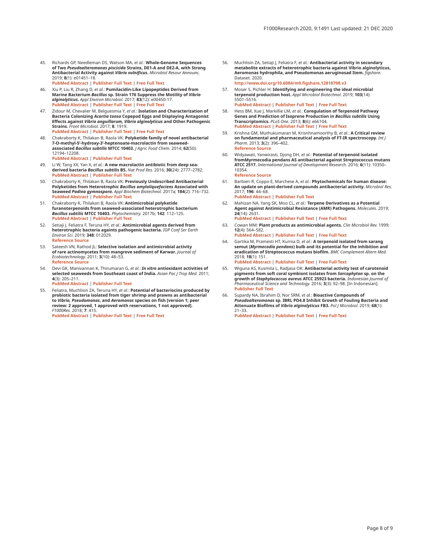<span id="page-7-0"></span>45. Richards GP, Needleman DS, Watson MA, *et al.*: **Whole-Genome Sequences of Two** *Pseudoalteromonas piscicida* **Strains, DE1-A and DE2-A, with Strong Antibacterial Activity against** *Vibrio vulnificus***.** *Microbiol Resour Announc.* 2019; **8**(1): e01451–18.

**[PubMed Abstract](http://www.ncbi.nlm.nih.gov/pubmed/30637397)** | **[Publisher Full Text](http://dx.doi.org/10.1128/MRA.01451-18)** | **[Free Full Text](http://www.ncbi.nlm.nih.gov/pmc/articles/6318368)**

- 46. Xiu P, Liu R, Zhang D, *et al.*: **Pumilacidin-Like Lipopeptides Derived from Marine Bacterium** *Bacillus* **sp. Strain 176 Suppress the Motility of** *Vibrio alginolyticus***.** *Appl Environ Microbiol.* 2017; **83**(12): e00450-17. **[PubMed Abstract](http://www.ncbi.nlm.nih.gov/pubmed/28389538)** | **[Publisher Full Text](http://dx.doi.org/10.1128/AEM.00450-17)** | **[Free Full Text](http://www.ncbi.nlm.nih.gov/pmc/articles/5452807)**
- 47. Zidour M, Chevalier M, Belguesmia Y, *et al.*: **Isolation and Characterization of Bacteria Colonizing** *Acartia tonsa* **Copepod Eggs and Displaying Antagonist Effects against** *Vibrio anguillarum, Vibrio alginolyticus* **and Other Pathogenic Strains.** *Front Microbiol.* 2017; **8**: 1919. **[PubMed Abstract](http://www.ncbi.nlm.nih.gov/pubmed/29085344)** | **[Publisher Full Text](http://dx.doi.org/10.3389/fmicb.2017.01919)** | **[Free Full Text](http://www.ncbi.nlm.nih.gov/pmc/articles/5649146)**
- 48. Chakraborty K, Thilakan B, Raola VK: **Polyketide family of novel antibacterial 7-O-methyl-5'-hydroxy-3'-heptenoate-macrolactin from seaweed-associated** *Bacillus subtilis* **MTCC 10403.** *J Agric Food Chem.* 2014; **62**(50): 12194–12208. **[PubMed Abstract](http://www.ncbi.nlm.nih.gov/pubmed/25420039)** | **[Publisher Full Text](http://dx.doi.org/10.1021/jf504845m)**
- 49. Li W, Tang XX, Yan X, *et al.*: **A new macrolactin antibiotic from deep seaderived bacteria** *Bacillus subtilis* **B5.** *Nat Prod Res.* 2016; **30**(24): 2777–2782. **[PubMed Abstract](http://www.ncbi.nlm.nih.gov/pubmed/27071303)** | **[Publisher Full Text](http://dx.doi.org/10.1080/14786419.2016.1155576)**
- 50. Chakraborty K, Thilakan B, Raola VK: **Previously Undescribed Antibacterial Polyketides from Heterotrophic** *Bacillus amyloliquefaciens* **Associated with Seaweed** *Padina gymnospora***.** *Appl Biochem Biotechnol.* 2017a; **184**(2): 716–732. **[PubMed Abstract](http://www.ncbi.nlm.nih.gov/pubmed/28842846)** | **[Publisher Full Text](http://dx.doi.org/10.1007/s12010-017-2562-9)**
- 51. Chakraborty K, Thilakan B, Raola VK: **Antimicrobial polyketide furanoterpenoids from seaweed-associated heterotrophic bacterium**  *Bacillus subtilis* **MTCC 10403.** *Phytochemistry.* 2017b; **142**: 112–125. **[PubMed Abstract](http://www.ncbi.nlm.nih.gov/pubmed/28704687)** | **[Publisher Full Text](http://dx.doi.org/10.1016/j.phytochem.2017.06.019)**
- 52. Setiaji J, Feliatra F, Teruna HY, *et al.*: **Antimicrobial agents derived from heterotrophic bacteria againts pathogenic bacteria.** *IOP Conf Ser Earth Environ Sci.* 2019; **348**: 012029. **[Reference Source](https://iopscience.iop.org/article/10.1088/1755-1315/348/1/012029/meta)**
- 53. Sateesh VN, Rathod JL: **Selective isolation and antimicrobial activity of rare actinomycetes from mangrove sediment of Karwar.** *Journal of Ecobiotechnology.* 2011; **3**(10): 48–53. **[Reference Source](https://updatepublishing.com/journal/index.php/jebt/article/view/192)**
- 54. Devi GK, Manivannan K, Thirumaran G, *et al.*: *In vitro* **antioxidant activities of selected seaweeds from Southeast coast of India.** *Asian Pac J Trop Med.* 2011; **4**(3): 205–211. **[PubMed Abstract](http://www.ncbi.nlm.nih.gov/pubmed/21771454)** | **[Publisher Full Text](http://dx.doi.org/10.1016/S1995-7645(11)60070-9)**
- 55. Feliatra, Muchlisin ZA, Teruna HY, *et al.*: **Potential of bacteriocins produced by probiotic bacteria isolated from tiger shrimp and prawns as antibacterial to** *Vibrio, Pseudomonas***, and** *Aeromonas* **species on fish [version 1; peer review: 2 approved, 1 approved with reservations, 1 not approved].** *F1000Res.* 2018; **7**: 415. **[PubMed Abstract](http://www.ncbi.nlm.nih.gov/pubmed/30363877)** | **[Publisher Full Text](http://dx.doi.org/10.12688/f1000research.13958.1)** | **[Free Full Text](http://www.ncbi.nlm.nih.gov/pmc/articles/6182674)**
- 56. Muchlisin ZA, Setiaji J, Feliatra F, *et al.*: **Antibacterial activity in secondary metabolite extracts of heterotrophic bacteria against Vibrio alginolyticus, Aeromonas hydrophila, and Pseudomonas aeruginosad Item.** *figshare.* Dataset. 2020. **[http://www.doi.org/10.6084/m9.figshare.12818798.v](http://www.doi.org/10.6084/m9.figshare.12818798.v3)3**
- 57. Moser S, Pichler H: **Identifying and engineering the ideal microbial terpenoid production host.** *Appl Microbiol Biotechnol.* 2019; **103**(14): 5501–5516.

**[PubMed Abstract](http://www.ncbi.nlm.nih.gov/pubmed/31129740)** | **[Publisher Full Text](http://dx.doi.org/10.1007/s00253-019-09892-y)** | **[Free Full Text](http://www.ncbi.nlm.nih.gov/pmc/articles/6597603)**

- 58. Hess BM, Xue J, Markillie LM, *et al.*: **Coregulation of Terpenoid Pathway Genes and Prediction of Isoprene Production in** *Bacillus subtilis* **Using Transcriptomics.** *PLoS One.* 2013; **8**(6): e66104. **[PubMed Abstract](http://www.ncbi.nlm.nih.gov/pubmed/23840410)** | **[Publisher Full Text](http://dx.doi.org/10.1371/journal.pone.0066104)** | **[Free Full Text](http://www.ncbi.nlm.nih.gov/pmc/articles/3686787)**
- 59. Krishna GM, Muthukumaran M, Krisnhnamoorthy B, *et al.*: **A Critical review on fundamental and pharmaceutical analysis of FT-IR spectroscopy.** *Int J Pharm.* 2013; **3**(2): 396–402. **[Reference Source](https://www.semanticscholar.org/paper/A-CRITICAL-REVIEW-ON-FUNDAMENTAL-AND-PHARMACEUTICAL-Krishna-M.Muthukumaran/9f68917fbf170ce7440d09c05ff20cb5a8f7479f)**
- 60. Widyawati, Yanwirasti, Djong DH, *et al.*: **Potential of terpenoid isolated fromMyrmecodia pendans AS antibacterial against Streptococcus mutans ATCC 2517.** *International Journal of Development Research.* 2016; **6**(11): 10350– 10354.

**[Reference Source](https://www.journalijdr.com/sites/default/files/issue-pdf/6916.pdf)**

- 61. Barbieri R, Coppo E, Marchese A, *et al.*: **Phytochemicals for human disease: An update on plant-derived compounds antibacterial activity.** *Microbiol Res.* 2017; **196**: 44–68. **[PubMed Abstract](http://www.ncbi.nlm.nih.gov/pubmed/28164790)** | **[Publisher Full Text](http://dx.doi.org/10.1016/j.micres.2016.12.003)**
- 62. Mahizan NA, Yang SK, Moo CL, *et al.*: **Terpene Derivatives as a Potential Agent against Antimicrobial Resistance (AMR) Pathogens.** *Molecules.* 2019; **24**(14): 2631. **[PubMed Abstract](http://www.ncbi.nlm.nih.gov/pubmed/31330955)** | **[Publisher Full Text](http://dx.doi.org/10.3390/molecules24142631)** | **[Free Full Text](http://www.ncbi.nlm.nih.gov/pmc/articles/6680751)**
- 63. Cowan MM: **Plant products as antimicrobial agents.** *Clin Microbiol Rev.* 1999; **12**(4): 564–582.
- **[PubMed Abstract](http://www.ncbi.nlm.nih.gov/pubmed/10515903)** | **[Publisher Full Text](http://dx.doi.org/10.1128/CMR.12.4.564)** | **[Free Full Text](http://www.ncbi.nlm.nih.gov/pmc/articles/88925)**
- 64. Gartika M, Pramesti HT, Kurnia D, *et al.*: **A terpenoid isolated from sarang semut (***Myrmecodia pendans***) bulb and its potential for the inhibition and eradication of Streptococcus mutans biofilm.** *BMC Complement Altern Med.* 2018; **18**(1): 151. **[PubMed Abstract](http://www.ncbi.nlm.nih.gov/pubmed/29739390)** | **[Publisher Full Text](http://dx.doi.org/10.1186/s12906-018-2213-x)** | **[Free Full Text](http://www.ncbi.nlm.nih.gov/pmc/articles/5941495)**
- 65. Wiguna AS, Kusmita L, Radjasa OK: **Antibacterial activity test of carotenoid pigments from soft coral symbiont isolates from** *Sarcophyton* **sp. on the growth of** *Staphylococcus aureus* **ATCC 25923 bacteria.** *Indonesian Journal of Pharmaceutical Science and Technology.* 2016; **3**(3): 92–98. [In Indonesian]. **[Publisher Full Text](http://dx.doi.org/10.15416/ijpst.v3i3.9176)**
- 66. Supardy NA, Ibrahim D, Nor SRM, *et al.*: **Bioactive Compounds of**  *Pseudoalteromonas* **sp. IBRL PD4.8 Inhibit Growth of Fouling Bacteria and Attenuate Biofilms of** *Vibrio alginolyticus* **FB3.** *Pol J Microbiol.* 2019; **68**(1): 21–33.

**[PubMed Abstract](http://www.ncbi.nlm.nih.gov/pubmed/31050250)** | **[Publisher Full Text](http://dx.doi.org/10.21307/pjm-2019-003)** | **[Free Full Text](http://www.ncbi.nlm.nih.gov/pmc/articles/7256726)**